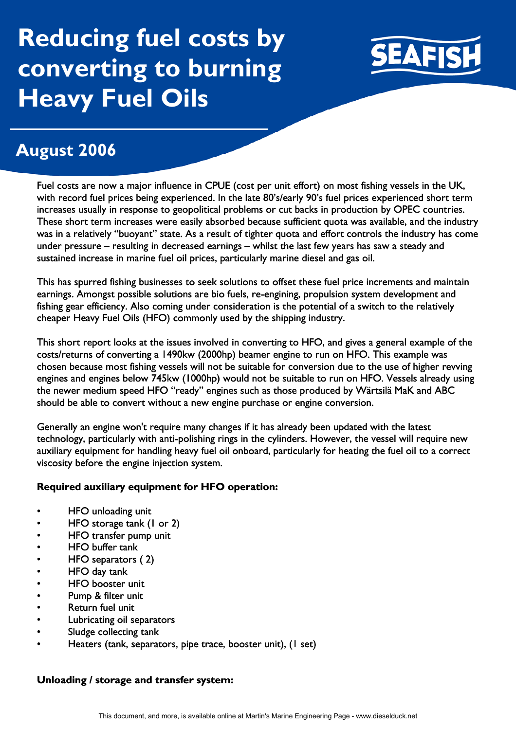# **Reducing fuel costs by converting to burning Heavy Fuel Oils**



## **August 2006**

Fuel costs are now a major influence in CPUE (cost per unit effort) on most fishing vessels in the UK, with record fuel prices being experienced. In the late 80's/early 90's fuel prices experienced short term increases usually in response to geopolitical problems or cut backs in production by OPEC countries. These short term increases were easily absorbed because sufficient quota was available, and the industry was in a relatively "buoyant" state. As a result of tighter quota and effort controls the industry has come under pressure – resulting in decreased earnings – whilst the last few years has saw a steady and sustained increase in marine fuel oil prices, particularly marine diesel and gas oil.

This has spurred fishing businesses to seek solutions to offset these fuel price increments and maintain earnings. Amongst possible solutions are bio fuels, re-engining, propulsion system development and fishing gear efficiency. Also coming under consideration is the potential of a switch to the relatively cheaper Heavy Fuel Oils (HFO) commonly used by the shipping industry.

This short report looks at the issues involved in converting to HFO, and gives a general example of the costs/returns of converting a 1490kw (2000hp) beamer engine to run on HFO. This example was chosen because most fishing vessels will not be suitable for conversion due to the use of higher revving engines and engines below 745kw (1000hp) would not be suitable to run on HFO. Vessels already using the newer medium speed HFO "ready" engines such as those produced by Wärtsilä MaK and ABC should be able to convert without a new engine purchase or engine conversion.

Generally an engine won't require many changes if it has already been updated with the latest technology, particularly with anti-polishing rings in the cylinders. However, the vessel will require new auxiliary equipment for handling heavy fuel oil onboard, particularly for heating the fuel oil to a correct viscosity before the engine injection system.

### **Required auxiliary equipment for HFO operation:**

- HFO unloading unit
- HFO storage tank (1 or 2)
- HFO transfer pump unit
- HFO buffer tank
- HFO separators (2)
- HFO day tank
- HFO booster unit
- Pump & filter unit
- Return fuel unit
- Lubricating oil separators
- Sludge collecting tank
- Heaters (tank, separators, pipe trace, booster unit), (1 set)

### **Unloading / storage and transfer system:**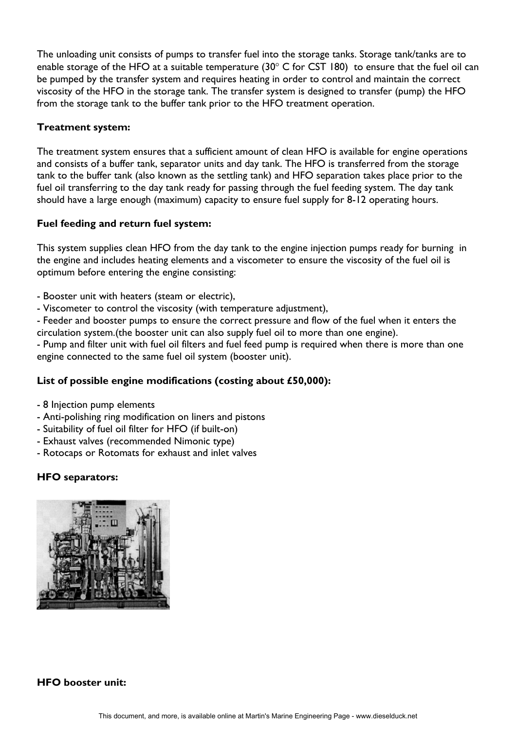The unloading unit consists of pumps to transfer fuel into the storage tanks. Storage tank/tanks are to enable storage of the HFO at a suitable temperature (30° C for CST 180) to ensure that the fuel oil can be pumped by the transfer system and requires heating in order to control and maintain the correct viscosity of the HFO in the storage tank. The transfer system is designed to transfer (pump) the HFO from the storage tank to the buffer tank prior to the HFO treatment operation.

#### **Treatment system:**

The treatment system ensures that a sufficient amount of clean HFO is available for engine operations and consists of a buffer tank, separator units and day tank. The HFO is transferred from the storage tank to the buffer tank (also known as the settling tank) and HFO separation takes place prior to the fuel oil transferring to the day tank ready for passing through the fuel feeding system. The day tank should have a large enough (maximum) capacity to ensure fuel supply for 8-12 operating hours.

#### **Fuel feeding and return fuel system:**

This system supplies clean HFO from the day tank to the engine injection pumps ready for burning in the engine and includes heating elements and a viscometer to ensure the viscosity of the fuel oil is optimum before entering the engine consisting:

- Booster unit with heaters (steam or electric),
- Viscometer to control the viscosity (with temperature adjustment),

- Feeder and booster pumps to ensure the correct pressure and flow of the fuel when it enters the circulation system.(the booster unit can also supply fuel oil to more than one engine).

- Pump and filter unit with fuel oil filters and fuel feed pump is required when there is more than one engine connected to the same fuel oil system (booster unit).

### **List of possible engine modifications (costing about £50,000):**

- 8 Injection pump elements
- Anti-polishing ring modification on liners and pistons
- Suitability of fuel oil filter for HFO (if built-on)
- Exhaust valves (recommended Nimonic type)
- Rotocaps or Rotomats for exhaust and inlet valves

### **HFO separators:**



### **HFO booster unit:**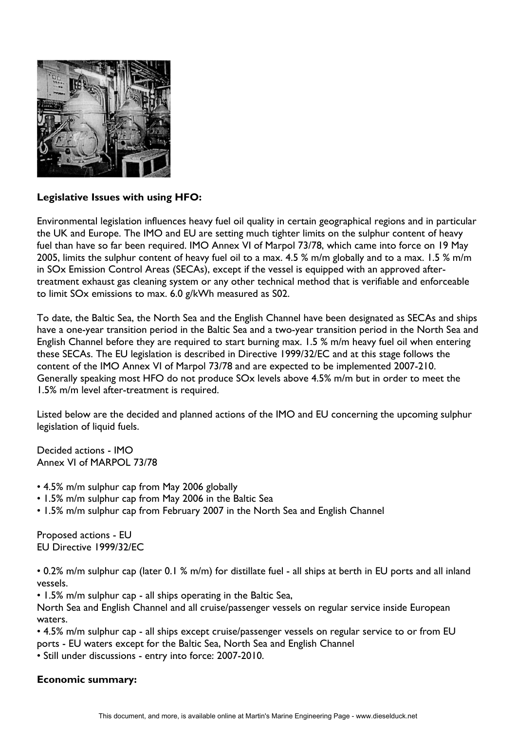

### **Legislative Issues with using HFO:**

Environmental legislation influences heavy fuel oil quality in certain geographical regions and in particular the UK and Europe. The IMO and EU are setting much tighter limits on the sulphur content of heavy fuel than have so far been required. IMO Annex VI of Marpol 73/78, which came into force on 19 May 2005, limits the sulphur content of heavy fuel oil to a max. 4.5 % m/m globally and to a max. 1.5 % m/m in SOx Emission Control Areas (SECAs), except if the vessel is equipped with an approved aftertreatment exhaust gas cleaning system or any other technical method that is verifiable and enforceable to limit SOx emissions to max. 6.0 g/kWh measured as S02.

To date, the Baltic Sea, the North Sea and the English Channel have been designated as SECAs and ships have a one-year transition period in the Baltic Sea and a two-year transition period in the North Sea and English Channel before they are required to start burning max. 1.5 % m/m heavy fuel oil when entering these SECAs. The EU legislation is described in Directive 1999/32/EC and at this stage follows the content of the IMO Annex VI of Marpol 73/78 and are expected to be implemented 2007-210. Generally speaking most HFO do not produce SOx levels above 4.5% m/m but in order to meet the 1.5% m/m level after-treatment is required.

Listed below are the decided and planned actions of the IMO and EU concerning the upcoming sulphur legislation of liquid fuels.

Decided actions - IMO Annex VI of MARPOL 73/78

- 4.5% m/m sulphur cap from May 2006 globally
- 1.5% m/m sulphur cap from May 2006 in the Baltic Sea
- 1.5% m/m sulphur cap from February 2007 in the North Sea and English Channel

Proposed actions - EU EU Directive 1999/32/EC

• 0.2% m/m sulphur cap (later 0.1 % m/m) for distillate fuel - all ships at berth in EU ports and all inland vessels.

• 1.5% m/m sulphur cap - all ships operating in the Baltic Sea,

North Sea and English Channel and all cruise/passenger vessels on regular service inside European waters.

• 4.5% m/m sulphur cap - all ships except cruise/passenger vessels on regular service to or from EU ports - EU waters except for the Baltic Sea, North Sea and English Channel

• Still under discussions - entry into force: 2007-2010.

### **Economic summary:**